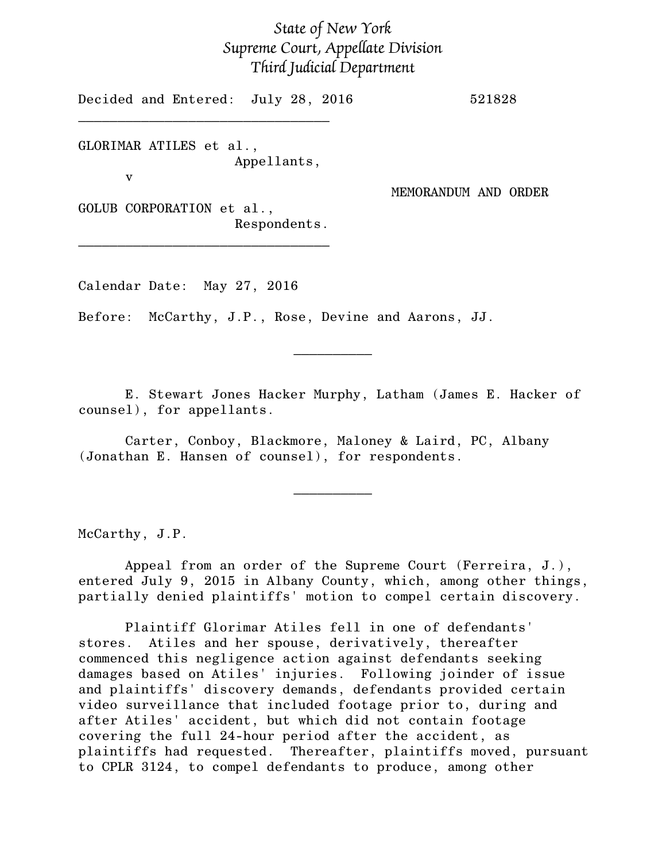## *State of New York Supreme Court, Appellate Division Third Judicial Department*

Decided and Entered: July 28, 2016 521828

GLORIMAR ATILES et al., Appellants,

\_\_\_\_\_\_\_\_\_\_\_\_\_\_\_\_\_\_\_\_\_\_\_\_\_\_\_\_\_\_\_\_

v

MEMORANDUM AND ORDER

GOLUB CORPORATION et al., Respondents.

\_\_\_\_\_\_\_\_\_\_\_\_\_\_\_\_\_\_\_\_\_\_\_\_\_\_\_\_\_\_\_\_

Calendar Date: May 27, 2016

Before: McCarthy, J.P., Rose, Devine and Aarons, JJ.

E. Stewart Jones Hacker Murphy, Latham (James E. Hacker of counsel), for appellants.

 $\frac{1}{2}$ 

Carter, Conboy, Blackmore, Maloney & Laird, PC, Albany (Jonathan E. Hansen of counsel), for respondents.

McCarthy, J.P.

Appeal from an order of the Supreme Court (Ferreira, J.), entered July 9, 2015 in Albany County, which, among other things, partially denied plaintiffs' motion to compel certain discovery.

 $\overline{\phantom{a}}$   $\overline{\phantom{a}}$   $\overline{\phantom{a}}$   $\overline{\phantom{a}}$   $\overline{\phantom{a}}$   $\overline{\phantom{a}}$   $\overline{\phantom{a}}$   $\overline{\phantom{a}}$   $\overline{\phantom{a}}$   $\overline{\phantom{a}}$   $\overline{\phantom{a}}$   $\overline{\phantom{a}}$   $\overline{\phantom{a}}$   $\overline{\phantom{a}}$   $\overline{\phantom{a}}$   $\overline{\phantom{a}}$   $\overline{\phantom{a}}$   $\overline{\phantom{a}}$   $\overline{\$ 

Plaintiff Glorimar Atiles fell in one of defendants' stores. Atiles and her spouse, derivatively, thereafter commenced this negligence action against defendants seeking damages based on Atiles' injuries. Following joinder of issue and plaintiffs' discovery demands, defendants provided certain video surveillance that included footage prior to, during and after Atiles' accident, but which did not contain footage covering the full 24-hour period after the accident, as plaintiffs had requested. Thereafter, plaintiffs moved, pursuant to CPLR 3124, to compel defendants to produce, among other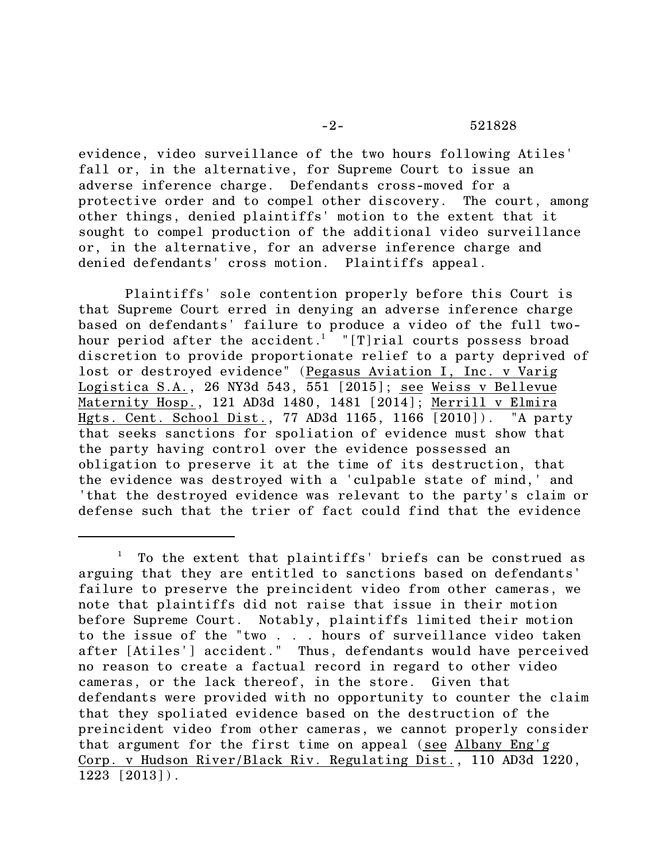evidence, video surveillance of the two hours following Atiles' fall or, in the alternative, for Supreme Court to issue an adverse inference charge. Defendants cross-moved for a protective order and to compel other discovery. The court, among other things, denied plaintiffs' motion to the extent that it sought to compel production of the additional video surveillance or, in the alternative, for an adverse inference charge and denied defendants' cross motion. Plaintiffs appeal.

Plaintiffs' sole contention properly before this Court is that Supreme Court erred in denying an adverse inference charge based on defendants' failure to produce a video of the full twohour period after the accident.<sup>1</sup> "[T]rial courts possess broad discretion to provide proportionate relief to a party deprived of lost or destroyed evidence" (Pegasus Aviation I, Inc. v Varig Logistica S.A., 26 NY3d 543, 551 [2015]; see Weiss v Bellevue Maternity Hosp., 121 AD3d 1480, 1481 [2014]; Merrill v Elmira Hgts. Cent. School Dist., 77 AD3d 1165, 1166 [2010]). "A party that seeks sanctions for spoliation of evidence must show that the party having control over the evidence possessed an obligation to preserve it at the time of its destruction, that the evidence was destroyed with a 'culpable state of mind,' and 'that the destroyed evidence was relevant to the party's claim or defense such that the trier of fact could find that the evidence

<sup>1</sup> To the extent that plaintiffs' briefs can be construed as arguing that they are entitled to sanctions based on defendants' failure to preserve the preincident video from other cameras, we note that plaintiffs did not raise that issue in their motion before Supreme Court. Notably, plaintiffs limited their motion to the issue of the "two . . . hours of surveillance video taken after [Atiles'] accident." Thus, defendants would have perceived no reason to create a factual record in regard to other video cameras, or the lack thereof, in the store. Given that defendants were provided with no opportunity to counter the claim that they spoliated evidence based on the destruction of the preincident video from other cameras, we cannot properly consider that argument for the first time on appeal (see Albany Eng'g Corp. v Hudson River/Black Riv. Regulating Dist., 110 AD3d 1220, 1223 [2013]).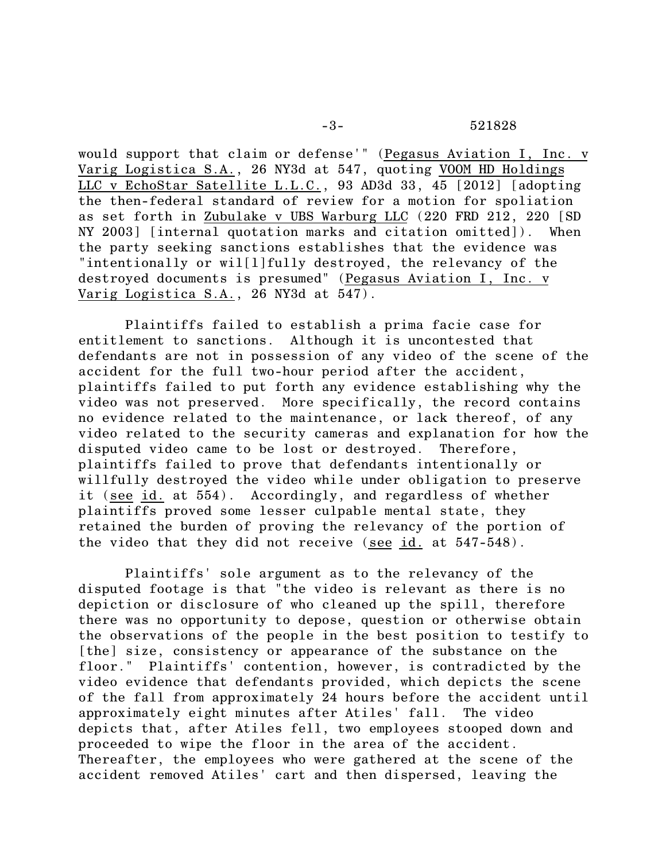would support that claim or defense'" (Pegasus Aviation I, Inc. v Varig Logistica S.A., 26 NY3d at 547, quoting VOOM HD Holdings LLC v EchoStar Satellite L.L.C., 93 AD3d 33, 45 [2012] [adopting the then-federal standard of review for a motion for spoliation as set forth in Zubulake v UBS Warburg LLC (220 FRD 212, 220 [SD NY 2003] [internal quotation marks and citation omitted]). When the party seeking sanctions establishes that the evidence was "intentionally or wil[l]fully destroyed, the relevancy of the destroyed documents is presumed" (Pegasus Aviation I, Inc. v Varig Logistica S.A., 26 NY3d at 547).

Plaintiffs failed to establish a prima facie case for entitlement to sanctions. Although it is uncontested that defendants are not in possession of any video of the scene of the accident for the full two-hour period after the accident, plaintiffs failed to put forth any evidence establishing why the video was not preserved. More specifically, the record contains no evidence related to the maintenance, or lack thereof, of any video related to the security cameras and explanation for how the disputed video came to be lost or destroyed. Therefore, plaintiffs failed to prove that defendants intentionally or willfully destroyed the video while under obligation to preserve it (see id. at 554). Accordingly, and regardless of whether plaintiffs proved some lesser culpable mental state, they retained the burden of proving the relevancy of the portion of the video that they did not receive (see id. at 547-548).

Plaintiffs' sole argument as to the relevancy of the disputed footage is that "the video is relevant as there is no depiction or disclosure of who cleaned up the spill, therefore there was no opportunity to depose, question or otherwise obtain the observations of the people in the best position to testify to [the] size, consistency or appearance of the substance on the floor." Plaintiffs' contention, however, is contradicted by the video evidence that defendants provided, which depicts the scene of the fall from approximately 24 hours before the accident until approximately eight minutes after Atiles' fall. The video depicts that, after Atiles fell, two employees stooped down and proceeded to wipe the floor in the area of the accident. Thereafter, the employees who were gathered at the scene of the accident removed Atiles' cart and then dispersed, leaving the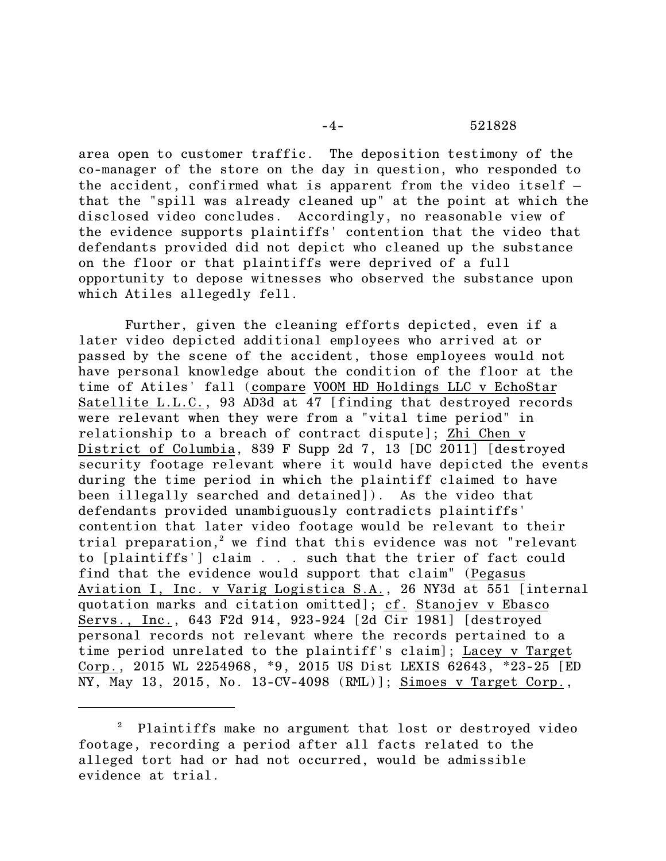area open to customer traffic. The deposition testimony of the co-manager of the store on the day in question, who responded to the accident, confirmed what is apparent from the video itself that the "spill was already cleaned up" at the point at which the disclosed video concludes. Accordingly, no reasonable view of the evidence supports plaintiffs' contention that the video that defendants provided did not depict who cleaned up the substance on the floor or that plaintiffs were deprived of a full opportunity to depose witnesses who observed the substance upon which Atiles allegedly fell.

Further, given the cleaning efforts depicted, even if a later video depicted additional employees who arrived at or passed by the scene of the accident, those employees would not have personal knowledge about the condition of the floor at the time of Atiles' fall (compare VOOM HD Holdings LLC v EchoStar Satellite L.L.C., 93 AD3d at 47 [finding that destroyed records were relevant when they were from a "vital time period" in relationship to a breach of contract dispute]; Zhi Chen v District of Columbia, 839 F Supp 2d 7, 13 [DC 2011] [destroyed security footage relevant where it would have depicted the events during the time period in which the plaintiff claimed to have been illegally searched and detained]). As the video that defendants provided unambiguously contradicts plaintiffs' contention that later video footage would be relevant to their trial preparation,<sup>2</sup> we find that this evidence was not "relevant to [plaintiffs'] claim . . . such that the trier of fact could find that the evidence would support that claim" (Pegasus Aviation I, Inc. v Varig Logistica S.A., 26 NY3d at 551 [internal quotation marks and citation omitted]; cf. Stanojev v Ebasco Servs., Inc., 643 F2d 914, 923-924 [2d Cir 1981] [destroyed personal records not relevant where the records pertained to a time period unrelated to the plaintiff's claim]; Lacey v Target Corp., 2015 WL 2254968, \*9, 2015 US Dist LEXIS 62643, \*23-25 [ED NY, May 13, 2015, No. 13-CV-4098 (RML)]; Simoes v Target Corp.,

<sup>2</sup> Plaintiffs make no argument that lost or destroyed video footage, recording a period after all facts related to the alleged tort had or had not occurred, would be admissible evidence at trial.